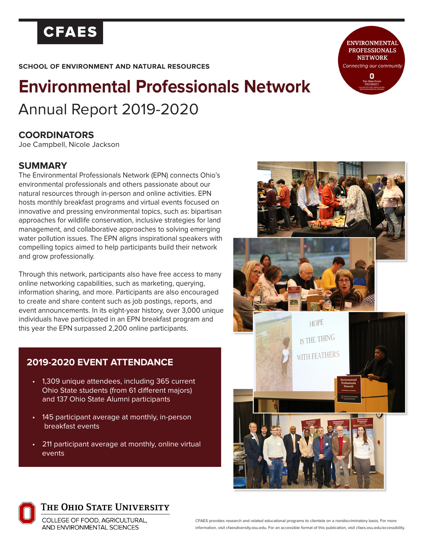## **CFAES**

**SCHOOL OF ENVIRONMENT AND NATURAL RESOURCES**

# **Environmental Professionals Network** Annual Report 2019-2020

### **COORDINATORS**

Joe Campbell, Nicole Jackson

#### **SUMMARY**

The Environmental Professionals Network (EPN) connects Ohio's environmental professionals and others passionate about our natural resources through in-person and online activities. EPN hosts monthly breakfast programs and virtual events focused on innovative and pressing environmental topics, such as: bipartisan approaches for wildlife conservation, inclusive strategies for land management, and collaborative approaches to solving emerging water pollution issues. The EPN aligns inspirational speakers with compelling topics aimed to help participants build their network and grow professionally.

Through this network, participants also have free access to many online networking capabilities, such as marketing, querying, information sharing, and more. Participants are also encouraged to create and share content such as job postings, reports, and event announcements. In its eight-year history, over 3,000 unique individuals have participated in an EPN breakfast program and this year the EPN surpassed 2,200 online participants.

### **2019-2020 EVENT ATTENDANCE**

- 1,309 unique attendees, including 365 current Ohio State students (from 61 different majors) and 137 Ohio State Alumni participants
- 145 participant average at monthly, in-person breakfast events
- 211 participant average at monthly, online virtual events



THE OHIO STATE UNIVERSITY

COLLEGE OF FOOD, AGRICULTURAL, AND ENVIRONMENTAL SCIENCES

**HOPE** IS THE THING WITH FEATHERS